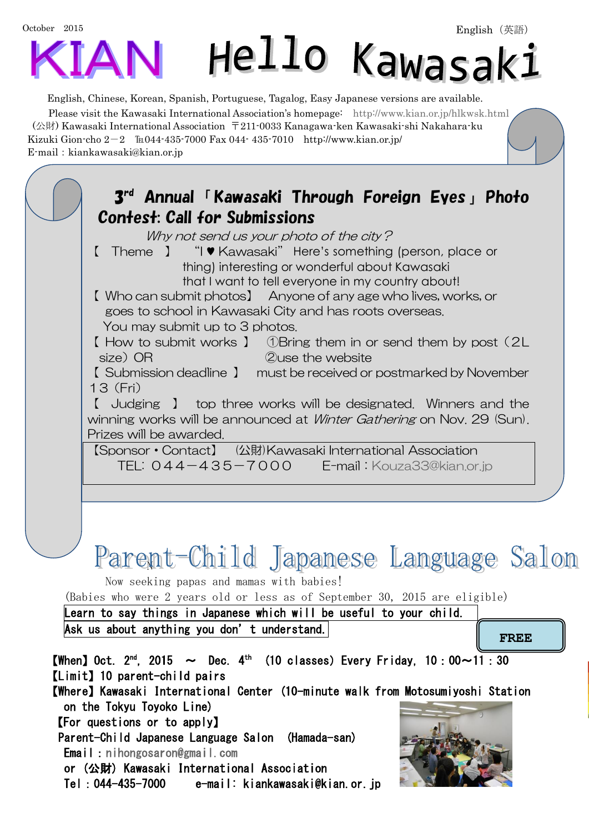

English, Chinese, Korean, Spanish, Portuguese, Tagalog, Easy Japanese versions are available. Please visit the Kawasaki International Association's homepage: <http://www.kian.or.jp/hlkwsk.html> (公財) Kawasaki International Association 〒211-0033 Kanagawa-ken Kawasaki-shi Nakahara-ku Kizuki Gion-cho  $2-2$  El 044-435-7000 Fax 044-435-7010 http://www.kian.or.jp/  $E$ -mail: kiankawasaki@kian.or.jp

3 rd Annual「Kawasaki Through Foreign Eyes」Photo Contest: Call for Submissions Why not send us your photo of the city? 【 Theme 】 "I ♥ Kawasaki" Here's something (person, place or thing) interesting or wonderful about Kawasaki that I want to tell everyone in my country about! 【 Who can submit photos】 Anyone of any age who lives, works, or goes to school in Kawasaki City and has roots overseas. You may submit up to 3 photos. 【 How to submit works 】 ①Bring them in or send them by post(2L size) OR 2 and 2 and 2 and 2 and 2 and 2 and 2 and 2 and 2 and 2 and 2 and 2 and 2 and 2 and 2 and 2 and 2 and 【 Submission deadline 】 must be received or postmarked by November 13(Fri) 【 Judging 】 top three works will be designated. Winners and the winning works will be announced at *Winter Gathering* on Nov. 29 (Sun). Prizes will be awarded. 【Sponsor・Contact】 (公財)Kawasaki International Association TEL: 044-435-7000 E-mail:[Kouza33@kian.or.jp](mailto:Kouza33@kian.or.jp) Parent-Child Japanese Language Salon Now seeking papas and mamas with babies! (Babies who were 2 years old or less as of September 30, 2015 are eligible) Learn to say things in Japanese which will be useful to your child. Ask us about anything you don't understand. **[When]** Oct.  $2^{nd}$ , 2015  $\sim$  Dec. 4<sup>th</sup> (10 classes) Every Friday, 10:00 $\sim$ 11:30 【Limit】10 parent-child pairs 【Where】Kawasaki International Center (10-minute walk from Motosumiyoshi Station **FREE**

on the Tokyu Toyoko Line) 【For questions or to apply】

 Parent-Child Japanese Language Salon (Hamada-san) Email:[nihongosaron@gmail.com](mailto:nihongosaron@gmail.com) 

or (公財) Kawasaki International Association

Tel:044-435-7000 e-mail: kiankawasaki@kian.or.jp